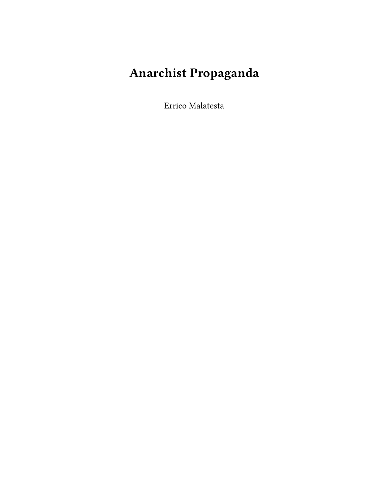## **Anarchist Propaganda**

Errico Malatesta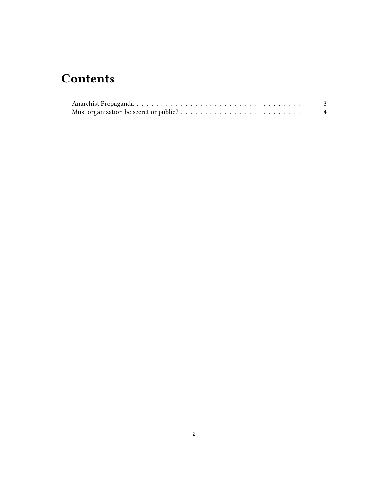## **Contents**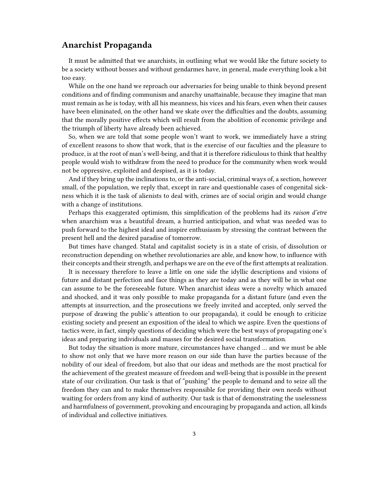## <span id="page-2-0"></span>**Anarchist Propaganda**

It must be admitted that we anarchists, in outlining what we would like the future society to be a society without bosses and without gendarmes have, in general, made everything look a bit too easy.

While on the one hand we reproach our adversaries for being unable to think beyond present conditions and of finding communism and anarchy unattainable, because they imagine that man must remain as he is today, with all his meanness, his vices and his fears, even when their causes have been eliminated, on the other hand we skate over the difficulties and the doubts, assuming that the morally positive effects which will result from the abolition of economic privilege and the triumph of liberty have already been achieved.

So, when we are told that some people won't want to work, we immediately have a string of excellent reasons to show that work, that is the exercise of our faculties and the pleasure to produce, is at the root of man's well-being, and that it is therefore ridiculous to think that healthy people would wish to withdraw from the need to produce for the community when work would not be oppressive, exploited and despised, as it is today.

And if they bring up the inclinations to, or the anti-social, criminal ways of, a section, however small, of the population, we reply that, except in rare and questionable cases of congenital sickness which it is the task of alienists to deal with, crimes are of social origin and would change with a change of institutions.

Perhaps this exaggerated optimism, this simplification of the problems had its *raison d'etre* when anarchism was a beautiful dream, a hurried anticipation, and what was needed was to push forward to the highest ideal and inspire enthusiasm by stressing the contrast between the present hell and the desired paradise of tomorrow.

But times have changed. Statal and capitalist society is in a state of crisis, of dissolution or reconstruction depending on whether revolutionaries are able, and know how, to influence with their concepts and their strength, and perhaps we are on the eve of the first attempts at realization.

It is necessary therefore to leave a little on one side the idyllic descriptions and visions of future and distant perfection and face things as they are today and as they will be in what one can assume to be the foreseeable future. When anarchist ideas were a novelty which amazed and shocked, and it was only possible to make propaganda for a distant future (and even the attempts at insurrection, and the prosecutions we freely invited and accepted, only served the purpose of drawing the public's attention to our propaganda), it could be enough to criticize existing society and present an exposition of the ideal to which we aspire. Even the questions of tactics were, in fact, simply questions of deciding which were the best ways of propagating one's ideas and preparing individuals and masses for the desired social transformation.

But today the situation is more mature, circumstances have changed … and we must be able to show not only that we have more reason on our side than have the parties because of the nobility of our ideal of freedom, but also that our ideas and methods are the most practical for the achievement of the greatest measure of freedom and well-being that is possible in the present state of our civilization. Our task is that of "pushing" the people to demand and to seize all the freedom they can and to make themselves responsible for providing their own needs without waiting for orders from any kind of authority. Our task is that of demonstrating the uselessness and harmfulness of government, provoking and encouraging by propaganda and action, all kinds of individual and collective initiatives.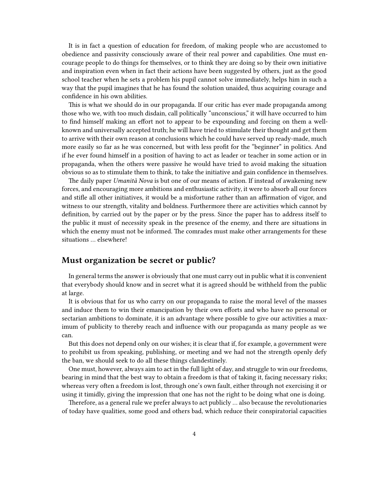It is in fact a question of education for freedom, of making people who are accustomed to obedience and passivity consciously aware of their real power and capabilities. One must encourage people to do things for themselves, or to think they are doing so by their own initiative and inspiration even when in fact their actions have been suggested by others, just as the good school teacher when he sets a problem his pupil cannot solve immediately, helps him in such a way that the pupil imagines that he has found the solution unaided, thus acquiring courage and confidence in his own abilities.

This is what we should do in our propaganda. If our critic has ever made propaganda among those who we, with too much disdain, call politically "unconscious," it will have occurred to him to find himself making an effort not to appear to be expounding and forcing on them a wellknown and universally accepted truth; he will have tried to stimulate their thought and get them to arrive with their own reason at conclusions which he could have served up ready-made, much more easily so far as he was concerned, but with less profit for the "beginner" in politics. And if he ever found himself in a position of having to act as leader or teacher in some action or in propaganda, when the others were passive he would have tried to avoid making the situation obvious so as to stimulate them to think, to take the initiative and gain confidence in themselves.

The daily paper *Umanità Nova* is but one of our means of action. If instead of awakening new forces, and encouraging more ambitions and enthusiastic activity, it were to absorb all our forces and stifle all other initiatives, it would be a misfortune rather than an affirmation of vigor, and witness to our strength, vitality and boldness. Furthermore there are activities which cannot by definition, by carried out by the paper or by the press. Since the paper has to address itself to the public it must of necessity speak in the presence of the enemy, and there are situations in which the enemy must not be informed. The comrades must make other arrangements for these situations … elsewhere!

## <span id="page-3-0"></span>**Must organization be secret or public?**

In general terms the answer is obviously that one must carry out in public what it is convenient that everybody should know and in secret what it is agreed should be withheld from the public at large.

It is obvious that for us who carry on our propaganda to raise the moral level of the masses and induce them to win their emancipation by their own efforts and who have no personal or sectarian ambitions to dominate, it is an advantage where possible to give our activities a maximum of publicity to thereby reach and influence with our propaganda as many people as we can.

But this does not depend only on our wishes; it is clear that if, for example, a government were to prohibit us from speaking, publishing, or meeting and we had not the strength openly defy the ban, we should seek to do all these things clandestinely.

One must, however, always aim to act in the full light of day, and struggle to win our freedoms, bearing in mind that the best way to obtain a freedom is that of taking it, facing necessary risks; whereas very often a freedom is lost, through one's own fault, either through not exercising it or using it timidly, giving the impression that one has not the right to be doing what one is doing.

Therefore, as a general rule we prefer always to act publicly … also because the revolutionaries of today have qualities, some good and others bad, which reduce their conspiratorial capacities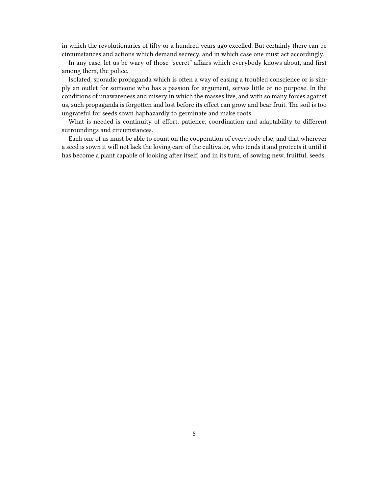in which the revolutionaries of fifty or a hundred years ago excelled. But certainly there can be circumstances and actions which demand secrecy, and in which case one must act accordingly.

In any case, let us be wary of those "secret" affairs which everybody knows about, and first among them, the police.

Isolated, sporadic propaganda which is often a way of easing a troubled conscience or is simply an outlet for someone who has a passion for argument, serves little or no purpose. In the conditions of unawareness and misery in which the masses live, and with so many forces against us, such propaganda is forgotten and lost before its effect can grow and bear fruit. The soil is too ungrateful for seeds sown haphazardly to germinate and make roots.

What is needed is continuity of effort, patience, coordination and adaptability to different surroundings and circumstances.

Each one of us must be able to count on the cooperation of everybody else; and that wherever a seed is sown it will not lack the loving care of the cultivator, who tends it and protects it until it has become a plant capable of looking after itself, and in its turn, of sowing new, fruitful, seeds.